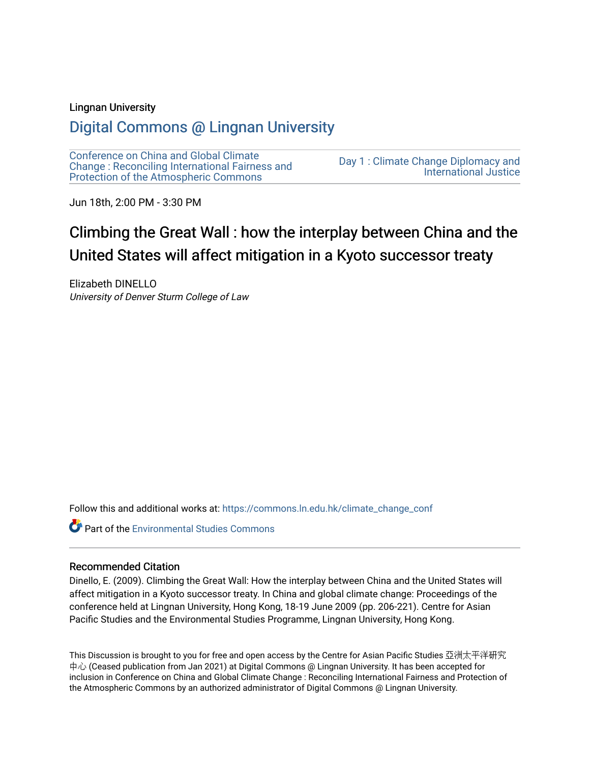#### Lingnan University

# [Digital Commons @ Lingnan University](https://commons.ln.edu.hk/)

[Conference on China and Global Climate](https://commons.ln.edu.hk/climate_change_conf)  [Change : Reconciling International Fairness and](https://commons.ln.edu.hk/climate_change_conf)  [Protection of the Atmospheric Commons](https://commons.ln.edu.hk/climate_change_conf)

[Day 1 : Climate Change Diplomacy and](https://commons.ln.edu.hk/climate_change_conf/day1)  [International Justice](https://commons.ln.edu.hk/climate_change_conf/day1) 

Jun 18th, 2:00 PM - 3:30 PM

# Climbing the Great Wall : how the interplay between China and the United States will affect mitigation in a Kyoto successor treaty

Elizabeth DINELLO University of Denver Sturm College of Law

Follow this and additional works at: [https://commons.ln.edu.hk/climate\\_change\\_conf](https://commons.ln.edu.hk/climate_change_conf?utm_source=commons.ln.edu.hk%2Fclimate_change_conf%2Fday1%2Fs3%2F3&utm_medium=PDF&utm_campaign=PDFCoverPages) 

**Part of the [Environmental Studies Commons](https://network.bepress.com/hgg/discipline/1333?utm_source=commons.ln.edu.hk%2Fclimate_change_conf%2Fday1%2Fs3%2F3&utm_medium=PDF&utm_campaign=PDFCoverPages)** 

#### Recommended Citation

Dinello, E. (2009). Climbing the Great Wall: How the interplay between China and the United States will affect mitigation in a Kyoto successor treaty. In China and global climate change: Proceedings of the conference held at Lingnan University, Hong Kong, 18-19 June 2009 (pp. 206-221). Centre for Asian Pacific Studies and the Environmental Studies Programme, Lingnan University, Hong Kong.

This Discussion is brought to you for free and open access by the Centre for Asian Pacific Studies 亞洲太平洋研究 中心 (Ceased publication from Jan 2021) at Digital Commons @ Lingnan University. It has been accepted for inclusion in Conference on China and Global Climate Change : Reconciling International Fairness and Protection of the Atmospheric Commons by an authorized administrator of Digital Commons @ Lingnan University.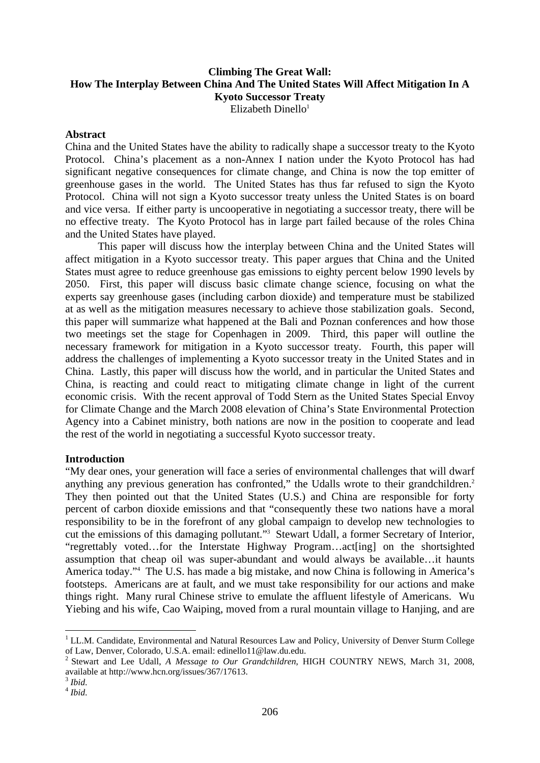# **Climbing The Great Wall: How The Interplay Between China And The United States Will Affect Mitigation In A Kyoto Successor Treaty**

Elizabeth Dinello $1$ 

### **Abstract**

China and the United States have the ability to radically shape a successor treaty to the Kyoto Protocol. China's placement as a non-Annex I nation under the Kyoto Protocol has had significant negative consequences for climate change, and China is now the top emitter of greenhouse gases in the world. The United States has thus far refused to sign the Kyoto Protocol. China will not sign a Kyoto successor treaty unless the United States is on board and vice versa. If either party is uncooperative in negotiating a successor treaty, there will be no effective treaty. The Kyoto Protocol has in large part failed because of the roles China and the United States have played.

 This paper will discuss how the interplay between China and the United States will affect mitigation in a Kyoto successor treaty. This paper argues that China and the United States must agree to reduce greenhouse gas emissions to eighty percent below 1990 levels by 2050. First, this paper will discuss basic climate change science, focusing on what the experts say greenhouse gases (including carbon dioxide) and temperature must be stabilized at as well as the mitigation measures necessary to achieve those stabilization goals. Second, this paper will summarize what happened at the Bali and Poznan conferences and how those two meetings set the stage for Copenhagen in 2009. Third, this paper will outline the necessary framework for mitigation in a Kyoto successor treaty. Fourth, this paper will address the challenges of implementing a Kyoto successor treaty in the United States and in China. Lastly, this paper will discuss how the world, and in particular the United States and China, is reacting and could react to mitigating climate change in light of the current economic crisis. With the recent approval of Todd Stern as the United States Special Envoy for Climate Change and the March 2008 elevation of China's State Environmental Protection Agency into a Cabinet ministry, both nations are now in the position to cooperate and lead the rest of the world in negotiating a successful Kyoto successor treaty.

## **Introduction**

"My dear ones, your generation will face a series of environmental challenges that will dwarf anything any previous generation has confronted," the Udalls wrote to their grandchildren.<sup>2</sup> They then pointed out that the United States (U.S.) and China are responsible for forty percent of carbon dioxide emissions and that "consequently these two nations have a moral responsibility to be in the forefront of any global campaign to develop new technologies to cut the emissions of this damaging pollutant."3 Stewart Udall, a former Secretary of Interior, "regrettably voted…for the Interstate Highway Program…act[ing] on the shortsighted assumption that cheap oil was super-abundant and would always be available…it haunts America today."4 The U.S. has made a big mistake, and now China is following in America's footsteps. Americans are at fault, and we must take responsibility for our actions and make things right. Many rural Chinese strive to emulate the affluent lifestyle of Americans. Wu Yiebing and his wife, Cao Waiping, moved from a rural mountain village to Hanjing, and are

<sup>&</sup>lt;sup>1</sup> LL.M. Candidate, Environmental and Natural Resources Law and Policy, University of Denver Sturm College of Law, Denver, Colorado, U.S.A. email: edinello11@law.du.edu.<sup>2</sup> Stewart and Lea U.1.1.

<sup>2</sup> Stewart and Lee Udall, *A Message to Our Grandchildren*, HIGH COUNTRY NEWS, March 31, 2008, available at http://www.hcn.org/issues/367/17613.

 $3$  Ibid. <sup>3</sup> Ibid.<br><sup>4</sup> Ibid.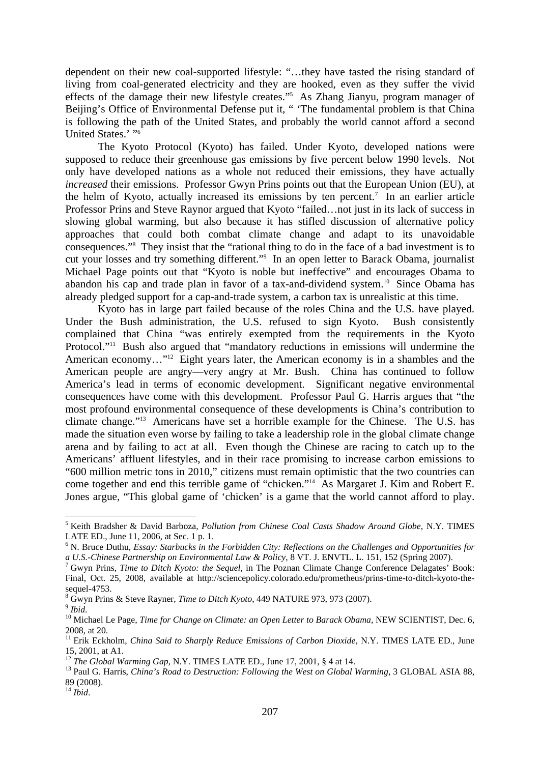dependent on their new coal-supported lifestyle: "…they have tasted the rising standard of living from coal-generated electricity and they are hooked, even as they suffer the vivid effects of the damage their new lifestyle creates."5 As Zhang Jianyu, program manager of Beijing's Office of Environmental Defense put it, " 'The fundamental problem is that China is following the path of the United States, and probably the world cannot afford a second United States.' "6

 The Kyoto Protocol (Kyoto) has failed. Under Kyoto, developed nations were supposed to reduce their greenhouse gas emissions by five percent below 1990 levels. Not only have developed nations as a whole not reduced their emissions, they have actually *increased* their emissions. Professor Gwyn Prins points out that the European Union (EU), at the helm of Kyoto, actually increased its emissions by ten percent.<sup>7</sup> In an earlier article Professor Prins and Steve Raynor argued that Kyoto "failed…not just in its lack of success in slowing global warming, but also because it has stifled discussion of alternative policy approaches that could both combat climate change and adapt to its unavoidable consequences."8 They insist that the "rational thing to do in the face of a bad investment is to cut your losses and try something different."9 In an open letter to Barack Obama, journalist Michael Page points out that "Kyoto is noble but ineffective" and encourages Obama to abandon his cap and trade plan in favor of a tax-and-dividend system.10 Since Obama has already pledged support for a cap-and-trade system, a carbon tax is unrealistic at this time.

 Kyoto has in large part failed because of the roles China and the U.S. have played. Under the Bush administration, the U.S. refused to sign Kyoto. Bush consistently complained that China "was entirely exempted from the requirements in the Kyoto Protocol."<sup>11</sup> Bush also argued that "mandatory reductions in emissions will undermine the American economy..."<sup>12</sup> Eight years later, the American economy is in a shambles and the American people are angry—very angry at Mr. Bush. China has continued to follow America's lead in terms of economic development. Significant negative environmental consequences have come with this development. Professor Paul G. Harris argues that "the most profound environmental consequence of these developments is China's contribution to climate change."13 Americans have set a horrible example for the Chinese. The U.S. has made the situation even worse by failing to take a leadership role in the global climate change arena and by failing to act at all. Even though the Chinese are racing to catch up to the Americans' affluent lifestyles, and in their race promising to increase carbon emissions to "600 million metric tons in 2010," citizens must remain optimistic that the two countries can come together and end this terrible game of "chicken."14 As Margaret J. Kim and Robert E. Jones argue, "This global game of 'chicken' is a game that the world cannot afford to play.

<u>.</u>

<sup>5</sup> Keith Bradsher & David Barboza, *Pollution from Chinese Coal Casts Shadow Around Globe*, N.Y. TIMES LATE ED., June 11, 2006, at Sec. 1 p. 1.

<sup>&</sup>lt;sup>6</sup> N. Bruce Duthu, *Essay: Starbucks in the Forbidden City: Reflections on the Challenges and Opportunities for a U.S.-Chinese Partnership on Environmental Law & Policy*, 8 VT. J. ENVTL. L. 151, 152 (Spring 2007). 7

Gwyn Prins, *Time to Ditch Kyoto: the Sequel*, in The Poznan Climate Change Conference Delagates' Book: Final, Oct. 25, 2008, available at http://sciencepolicy.colorado.edu/prometheus/prins-time-to-ditch-kyoto-thesequel-4753.

<sup>&</sup>lt;sup>8</sup> Gwyn Prins & Steve Rayner, *Time to Ditch Kyoto*, 449 NATURE 973, 973 (2007).

of *Ibid.*<br><sup>9</sup> *Ibid.* 10 Michael Le Page, *Time for Change on Climate: an Open Letter to Barack Obama*, NEW SCIENTIST, Dec. 6, 2008, at 20.

<sup>&</sup>lt;sup>11</sup> Erik Eckholm, *China Said to Sharply Reduce Emissions of Carbon Dioxide*, N.Y. TIMES LATE ED., June 15, 2001, at A1.<br><sup>12</sup> The Global Warming Gap, N.Y. TIMES LATE ED., June 17, 2001, § 4 at 14.

<sup>&</sup>lt;sup>13</sup> Paul G. Harris, *China's Road to Destruction: Following the West on Global Warming*, 3 GLOBAL ASIA 88, 89 (2008).

 $^{14}$  *Ibid.*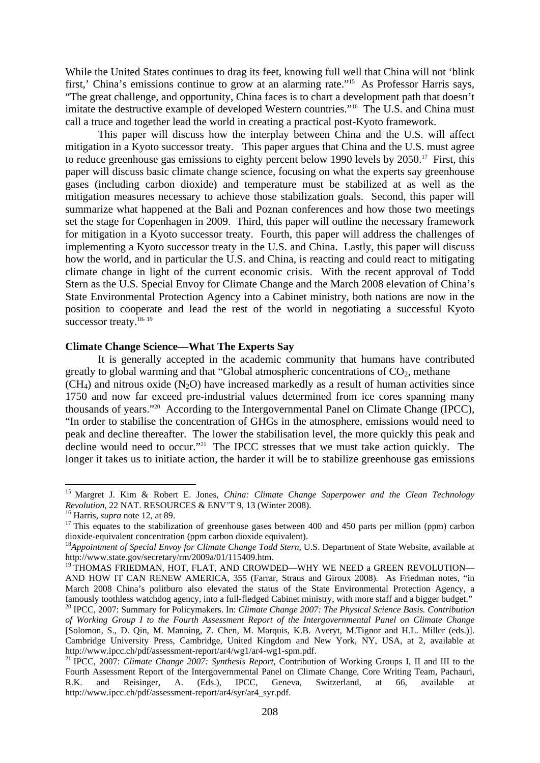While the United States continues to drag its feet, knowing full well that China will not 'blink first,' China's emissions continue to grow at an alarming rate."<sup>15</sup> As Professor Harris says, "The great challenge, and opportunity, China faces is to chart a development path that doesn't imitate the destructive example of developed Western countries."16 The U.S. and China must call a truce and together lead the world in creating a practical post-Kyoto framework.

 This paper will discuss how the interplay between China and the U.S. will affect mitigation in a Kyoto successor treaty. This paper argues that China and the U.S. must agree to reduce greenhouse gas emissions to eighty percent below 1990 levels by 2050.<sup>17</sup> First, this paper will discuss basic climate change science, focusing on what the experts say greenhouse gases (including carbon dioxide) and temperature must be stabilized at as well as the mitigation measures necessary to achieve those stabilization goals. Second, this paper will summarize what happened at the Bali and Poznan conferences and how those two meetings set the stage for Copenhagen in 2009. Third, this paper will outline the necessary framework for mitigation in a Kyoto successor treaty. Fourth, this paper will address the challenges of implementing a Kyoto successor treaty in the U.S. and China. Lastly, this paper will discuss how the world, and in particular the U.S. and China, is reacting and could react to mitigating climate change in light of the current economic crisis. With the recent approval of Todd Stern as the U.S. Special Envoy for Climate Change and the March 2008 elevation of China's State Environmental Protection Agency into a Cabinet ministry, both nations are now in the position to cooperate and lead the rest of the world in negotiating a successful Kyoto successor treaty.<sup>18, 19</sup>

### **Climate Change Science—What The Experts Say**

 It is generally accepted in the academic community that humans have contributed greatly to global warming and that "Global atmospheric concentrations of  $CO<sub>2</sub>$ , methane  $(CH<sub>4</sub>)$  and nitrous oxide  $(N<sub>2</sub>O)$  have increased markedly as a result of human activities since 1750 and now far exceed pre-industrial values determined from ice cores spanning many thousands of years."20 According to the Intergovernmental Panel on Climate Change (IPCC), "In order to stabilise the concentration of GHGs in the atmosphere, emissions would need to peak and decline thereafter. The lower the stabilisation level, the more quickly this peak and decline would need to occur."<sup>21</sup> The IPCC stresses that we must take action quickly. The longer it takes us to initiate action, the harder it will be to stabilize greenhouse gas emissions

<sup>&</sup>lt;sup>15</sup> Margret J. Kim & Robert E. Jones, *China: Climate Change Superpower and the Clean Technology Revolution*, 22 NAT. RESOURCES & ENV'T 9, 13 (Winter 2008).

<sup>&</sup>lt;sup>16</sup> Harris, *supra* note 12, at 89. <sup>17</sup> This equates to the stabilization of greenhouse gases between 400 and 450 parts per million (ppm) carbon <sup>17</sup> dioxide-equivalent concentration (ppm carbon dioxide equivalent).

<sup>&</sup>lt;sup>18</sup>Appointment of Special Envoy for Climate Change Todd Stern, U.S. Department of State Website, available at http://www.state.gov/secretary/rm/2009a/01/115409.htm.

<sup>&</sup>lt;sup>19</sup> THOMAS FRIEDMAN, HOT, FLAT, AND CROWDED—WHY WE NEED a GREEN REVOLUTION— AND HOW IT CAN RENEW AMERICA, 355 (Farrar, Straus and Giroux 2008). As Friedman notes, "in March 2008 China's politburo also elevated the status of the State Environmental Protection Agency, a famously toothless watchdog agency, into a full-fledged Cabinet ministry, with more staff and a bigger budget."

<sup>20</sup> IPCC, 2007: Summary for Policymakers. In: *Climate Change 2007: The Physical Science Basis. Contribution of Working Group I to the Fourth Assessment Report of the Intergovernmental Panel on Climate Change*  [Solomon, S., D. Qin, M. Manning, Z. Chen, M. Marquis, K.B. Averyt, M.Tignor and H.L. Miller (eds.)]. Cambridge University Press, Cambridge, United Kingdom and New York, NY, USA, at 2, available at http://www.ipcc.ch/pdf/assessment-report/ar4/wg1/ar4-wg1-spm.pdf.

<sup>21</sup> IPCC, 2007: *Climate Change 2007: Synthesis Report*, Contribution of Working Groups I, II and III to the Fourth Assessment Report of the Intergovernmental Panel on Climate Change, Core Writing Team, Pachauri, R.K. and Reisinger, A. (Eds.), IPCC, Geneva, Switzerland, at 66, available at http://www.ipcc.ch/pdf/assessment-report/ar4/syr/ar4\_syr.pdf.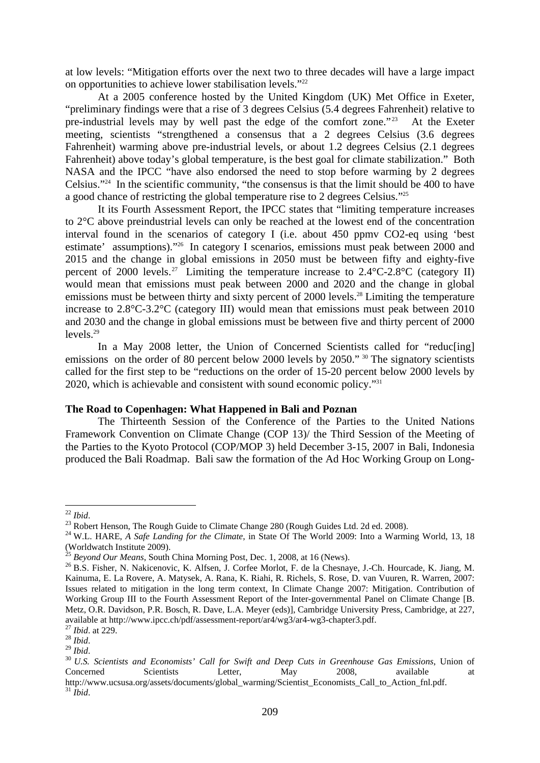at low levels: "Mitigation efforts over the next two to three decades will have a large impact on opportunities to achieve lower stabilisation levels."<sup>22</sup>

 At a 2005 conference hosted by the United Kingdom (UK) Met Office in Exeter, "preliminary findings were that a rise of 3 degrees Celsius (5.4 degrees Fahrenheit) relative to pre-industrial levels may by well past the edge of the comfort zone."<sup>23</sup> At the Exeter meeting, scientists "strengthened a consensus that a 2 degrees Celsius (3.6 degrees Fahrenheit) warming above pre-industrial levels, or about 1.2 degrees Celsius (2.1 degrees Fahrenheit) above today's global temperature, is the best goal for climate stabilization." Both NASA and the IPCC "have also endorsed the need to stop before warming by 2 degrees Celsius."24 In the scientific community, "the consensus is that the limit should be 400 to have a good chance of restricting the global temperature rise to 2 degrees Celsius."25

 It its Fourth Assessment Report, the IPCC states that "limiting temperature increases to 2°C above preindustrial levels can only be reached at the lowest end of the concentration interval found in the scenarios of category I (i.e. about 450 ppmv CO2-eq using 'best estimate' assumptions)."26 In category I scenarios, emissions must peak between 2000 and 2015 and the change in global emissions in 2050 must be between fifty and eighty-five percent of 2000 levels.<sup>27</sup> Limiting the temperature increase to  $2.4^{\circ}$ C-2.8<sup>°</sup>C (category II) would mean that emissions must peak between 2000 and 2020 and the change in global emissions must be between thirty and sixty percent of 2000 levels.<sup>28</sup> Limiting the temperature increase to 2.8°C-3.2°C (category III) would mean that emissions must peak between 2010 and 2030 and the change in global emissions must be between five and thirty percent of 2000 levels.29

 In a May 2008 letter, the Union of Concerned Scientists called for "reduc[ing] emissions on the order of 80 percent below 2000 levels by 2050." <sup>30</sup> The signatory scientists called for the first step to be "reductions on the order of 15-20 percent below 2000 levels by 2020, which is achievable and consistent with sound economic policy."31

#### **The Road to Copenhagen: What Happened in Bali and Poznan**

 The Thirteenth Session of the Conference of the Parties to the United Nations Framework Convention on Climate Change (COP 13)/ the Third Session of the Meeting of the Parties to the Kyoto Protocol (COP/MOP 3) held December 3-15, 2007 in Bali, Indonesia produced the Bali Roadmap. Bali saw the formation of the Ad Hoc Working Group on Long-

 $22$  *Ibid.* 

<sup>&</sup>lt;sup>23</sup> Robert Henson, The Rough Guide to Climate Change 280 (Rough Guides Ltd. 2d ed. 2008).

<sup>&</sup>lt;sup>24</sup> W.L. HARE, *A Safe Landing for the Climate*, in State Of The World 2009: Into a Warming World, 13, 18 (Worldwatch Institute 2009).<br><sup>25</sup> Beyond Our Means, South China Morning Post, Dec. 1, 2008, at 16 (News).

<sup>&</sup>lt;sup>26</sup> B.S. Fisher, N. Nakicenovic, K. Alfsen, J. Corfee Morlot, F. de la Chesnaye, J.-Ch. Hourcade, K. Jiang, M. Kainuma, E. La Rovere, A. Matysek, A. Rana, K. Riahi, R. Richels, S. Rose, D. van Vuuren, R. Warren, 2007: Issues related to mitigation in the long term context, In Climate Change 2007: Mitigation. Contribution of Working Group III to the Fourth Assessment Report of the Inter-governmental Panel on Climate Change [B. Metz, O.R. Davidson, P.R. Bosch, R. Dave, L.A. Meyer (eds)], Cambridge University Press, Cambridge, at 227, available at http://www.ipcc.ch/pdf/assessment-report/ar4/wg3/ar4-wg3-chapter3.pdf. $^{27}$  Ibid. at 229.

<sup>27</sup> *Ibid*. at 229. 28 *Ibid*. 29 *Ibid*. 30 *U.S. Scientists and Economists' Call for Swift and Deep Cuts in Greenhouse Gas Emissions*, Union of Concerned Scientists Letter, May 2008, available at http://www.ucsusa.org/assets/documents/global\_warming/Scientist\_Economists\_Call\_to\_Action\_fnl.pdf.  $31$  *Ibid.*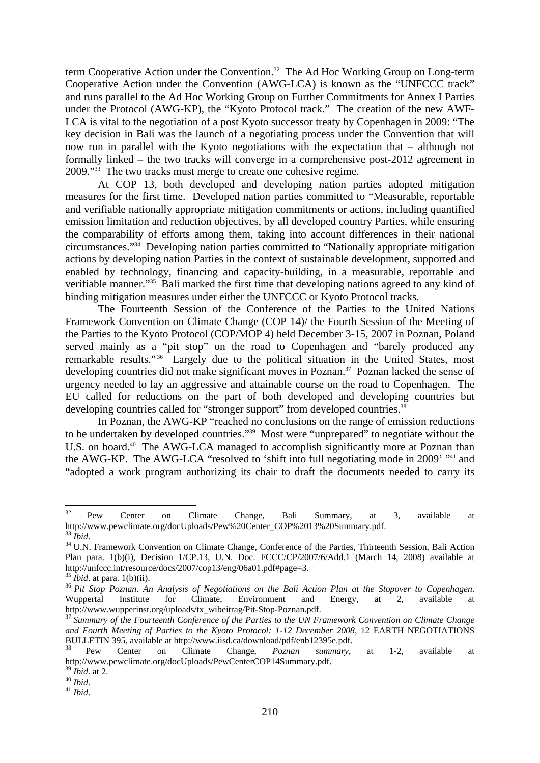term Cooperative Action under the Convention.<sup>32</sup> The Ad Hoc Working Group on Long-term Cooperative Action under the Convention (AWG-LCA) is known as the "UNFCCC track" and runs parallel to the Ad Hoc Working Group on Further Commitments for Annex I Parties under the Protocol (AWG-KP), the "Kyoto Protocol track." The creation of the new AWF-LCA is vital to the negotiation of a post Kyoto successor treaty by Copenhagen in 2009: "The key decision in Bali was the launch of a negotiating process under the Convention that will now run in parallel with the Kyoto negotiations with the expectation that – although not formally linked – the two tracks will converge in a comprehensive post-2012 agreement in 2009."33 The two tracks must merge to create one cohesive regime.

 At COP 13, both developed and developing nation parties adopted mitigation measures for the first time. Developed nation parties committed to "Measurable, reportable and verifiable nationally appropriate mitigation commitments or actions, including quantified emission limitation and reduction objectives, by all developed country Parties, while ensuring the comparability of efforts among them, taking into account differences in their national circumstances."34 Developing nation parties committed to "Nationally appropriate mitigation actions by developing nation Parties in the context of sustainable development, supported and enabled by technology, financing and capacity-building, in a measurable, reportable and verifiable manner."35 Bali marked the first time that developing nations agreed to any kind of binding mitigation measures under either the UNFCCC or Kyoto Protocol tracks.

 The Fourteenth Session of the Conference of the Parties to the United Nations Framework Convention on Climate Change (COP 14)/ the Fourth Session of the Meeting of the Parties to the Kyoto Protocol (COP/MOP 4) held December 3-15, 2007 in Poznan, Poland served mainly as a "pit stop" on the road to Copenhagen and "barely produced any remarkable results."<sup>36</sup> Largely due to the political situation in the United States, most developing countries did not make significant moves in Poznan.<sup>37</sup> Poznan lacked the sense of urgency needed to lay an aggressive and attainable course on the road to Copenhagen. The EU called for reductions on the part of both developed and developing countries but developing countries called for "stronger support" from developed countries.<sup>38</sup>

 In Poznan, the AWG-KP "reached no conclusions on the range of emission reductions to be undertaken by developed countries."39 Most were "unprepared" to negotiate without the U.S. on board.<sup>40</sup> The AWG-LCA managed to accomplish significantly more at Poznan than the AWG-KP. The AWG-LCA "resolved to 'shift into full negotiating mode in 2009' <sup>141</sup> and "adopted a work program authorizing its chair to draft the documents needed to carry its

<sup>32</sup>  $32$  Pew Center on Climate Change, Bali Summary, at 3, available at http://www.pewclimate.org/docUploads/Pew%20Center\_COP%2013%20Summary.pdf.

<sup>&</sup>lt;sup>34</sup> U.N. Framework Convention on Climate Change, Conference of the Parties, Thirteenth Session, Bali Action Plan para. 1(b)(i), Decision 1/CP.13, U.N. Doc. FCCC/CP/2007/6/Add.1 (March 14, 2008) available at http://unfccc.int/resource/docs/2007/cop13/eng/06a01.pdf#page=3.

<sup>35</sup> *Ibid*. at para. 1(b)(ii). 36 *Pit Stop Poznan. An Analysis of Negotiations on the Bali Action Plan at the Stopover to Copenhagen*. Wuppertal Institute for Climate, Environment and Energy, at 2, available at http://www.wupperinst.org/uploads/tx\_wibeitrag/Pit-Stop-Poznan.pdf.

<sup>37</sup> *Summary of the Fourteenth Conference of the Parties to the UN Framework Convention on Climate Change and Fourth Meeting of Parties to the Kyoto Protocol: 1-12 December 2008*, 12 EARTH NEGOTIATIONS BULLETIN 395, available at http://www.iisd.ca/download/pdf/enb12395e.pdf.

<sup>38</sup> Pew Center on Climate Change, *Poznan summary*, at 1-2, available at http://www.pewclimate.org/docUploads/PewCenterCOP14Summary.pdf.

<sup>39</sup> *Ibid*. at 2. 40 *Ibid*. 41 *Ibid*.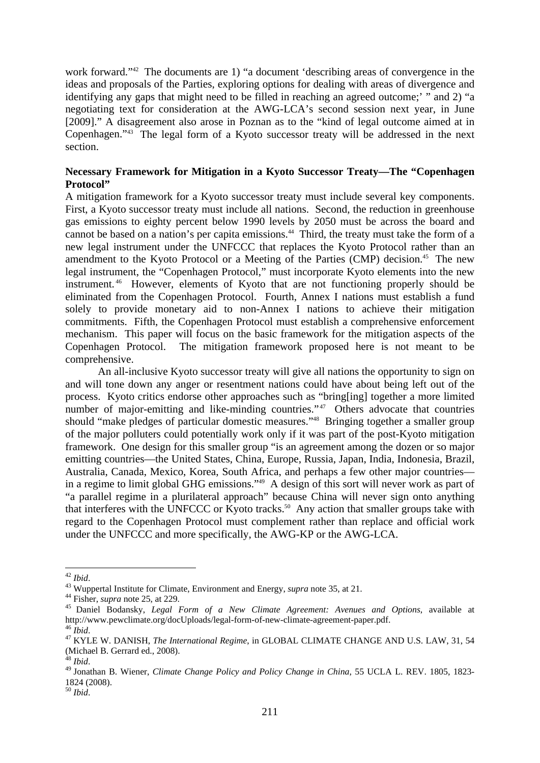work forward."<sup>42</sup> The documents are 1) "a document 'describing areas of convergence in the ideas and proposals of the Parties, exploring options for dealing with areas of divergence and identifying any gaps that might need to be filled in reaching an agreed outcome;' " and 2) "a negotiating text for consideration at the AWG-LCA's second session next year, in June [2009]." A disagreement also arose in Poznan as to the "kind of legal outcome aimed at in Copenhagen."43 The legal form of a Kyoto successor treaty will be addressed in the next section.

# **Necessary Framework for Mitigation in a Kyoto Successor Treaty—The "Copenhagen Protocol"**

A mitigation framework for a Kyoto successor treaty must include several key components. First, a Kyoto successor treaty must include all nations. Second, the reduction in greenhouse gas emissions to eighty percent below 1990 levels by 2050 must be across the board and cannot be based on a nation's per capita emissions.<sup>44</sup> Third, the treaty must take the form of a new legal instrument under the UNFCCC that replaces the Kyoto Protocol rather than an amendment to the Kyoto Protocol or a Meeting of the Parties  $(CMP)$  decision.<sup>45</sup> The new legal instrument, the "Copenhagen Protocol," must incorporate Kyoto elements into the new instrument. 46 However, elements of Kyoto that are not functioning properly should be eliminated from the Copenhagen Protocol. Fourth, Annex I nations must establish a fund solely to provide monetary aid to non-Annex I nations to achieve their mitigation commitments. Fifth, the Copenhagen Protocol must establish a comprehensive enforcement mechanism. This paper will focus on the basic framework for the mitigation aspects of the Copenhagen Protocol. The mitigation framework proposed here is not meant to be comprehensive.

 An all-inclusive Kyoto successor treaty will give all nations the opportunity to sign on and will tone down any anger or resentment nations could have about being left out of the process. Kyoto critics endorse other approaches such as "bring[ing] together a more limited number of major-emitting and like-minding countries."<sup>47</sup> Others advocate that countries should "make pledges of particular domestic measures."48 Bringing together a smaller group of the major polluters could potentially work only if it was part of the post-Kyoto mitigation framework. One design for this smaller group "is an agreement among the dozen or so major emitting countries—the United States, China, Europe, Russia, Japan, India, Indonesia, Brazil, Australia, Canada, Mexico, Korea, South Africa, and perhaps a few other major countries in a regime to limit global GHG emissions."49 A design of this sort will never work as part of "a parallel regime in a plurilateral approach" because China will never sign onto anything that interferes with the UNFCCC or Kyoto tracks.<sup>50</sup> Any action that smaller groups take with regard to the Copenhagen Protocol must complement rather than replace and official work under the UNFCCC and more specifically, the AWG-KP or the AWG-LCA.

 $42$  Ibid.

<sup>&</sup>lt;sup>43</sup> Wuppertal Institute for Climate, Environment and Energy, *supra* note 35, at 21.<br><sup>44</sup> Fisher, *supra* note 25, at 229.<br><sup>45</sup> Daniel Bodansky, *Legal Form of a New Climate Agreement: Avenues and Options*, available at http://www.pewclimate.org/docUploads/legal-form-of-new-climate-agreement-paper.pdf.

<sup>&</sup>lt;sup>47</sup> KYLE W. DANISH, *The International Regime*, in GLOBAL CLIMATE CHANGE AND U.S. LAW, 31, 54 (Michael B. Gerrard ed., 2008).

<sup>48</sup> *Ibid*. 49 Jonathan B. Wiener, *Climate Change Policy and Policy Change in China*, 55 UCLA L. REV. 1805, 1823- 1824 (2008).

<sup>50</sup> *Ibid*.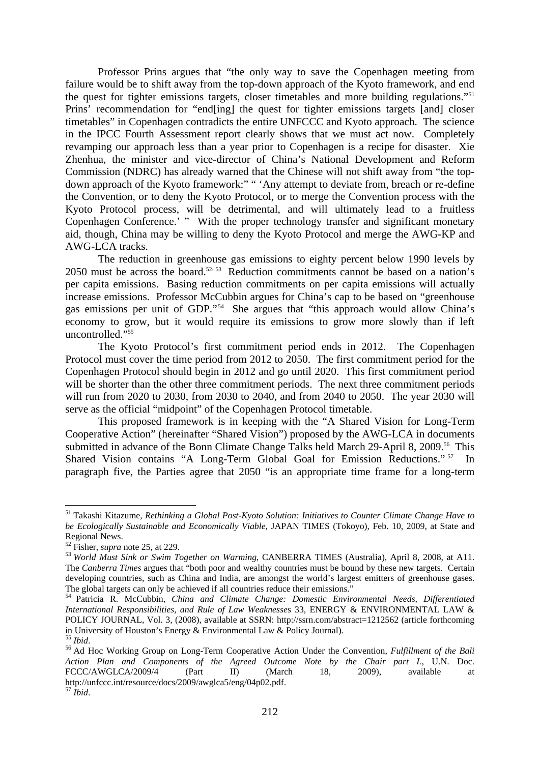Professor Prins argues that "the only way to save the Copenhagen meeting from failure would be to shift away from the top-down approach of the Kyoto framework, and end the quest for tighter emissions targets, closer timetables and more building regulations."51 Prins' recommendation for "end[ing] the quest for tighter emissions targets [and] closer timetables" in Copenhagen contradicts the entire UNFCCC and Kyoto approach. The science in the IPCC Fourth Assessment report clearly shows that we must act now. Completely revamping our approach less than a year prior to Copenhagen is a recipe for disaster. Xie Zhenhua, the minister and vice-director of China's National Development and Reform Commission (NDRC) has already warned that the Chinese will not shift away from "the topdown approach of the Kyoto framework:" " 'Any attempt to deviate from, breach or re-define the Convention, or to deny the Kyoto Protocol, or to merge the Convention process with the Kyoto Protocol process, will be detrimental, and will ultimately lead to a fruitless Copenhagen Conference.' " With the proper technology transfer and significant monetary aid, though, China may be willing to deny the Kyoto Protocol and merge the AWG-KP and AWG-LCA tracks.

 The reduction in greenhouse gas emissions to eighty percent below 1990 levels by 2050 must be across the board.<sup>52, 53</sup> Reduction commitments cannot be based on a nation's per capita emissions. Basing reduction commitments on per capita emissions will actually increase emissions. Professor McCubbin argues for China's cap to be based on "greenhouse gas emissions per unit of GDP."54 She argues that "this approach would allow China's economy to grow, but it would require its emissions to grow more slowly than if left uncontrolled."55

 The Kyoto Protocol's first commitment period ends in 2012. The Copenhagen Protocol must cover the time period from 2012 to 2050. The first commitment period for the Copenhagen Protocol should begin in 2012 and go until 2020. This first commitment period will be shorter than the other three commitment periods. The next three commitment periods will run from 2020 to 2030, from 2030 to 2040, and from 2040 to 2050. The year 2030 will serve as the official "midpoint" of the Copenhagen Protocol timetable.

 This proposed framework is in keeping with the "A Shared Vision for Long-Term Cooperative Action" (hereinafter "Shared Vision") proposed by the AWG-LCA in documents submitted in advance of the Bonn Climate Change Talks held March 29-April 8, 2009.<sup>56</sup> This Shared Vision contains "A Long-Term Global Goal for Emission Reductions."<sup>57</sup> In paragraph five, the Parties agree that 2050 "is an appropriate time frame for a long-term

<sup>51</sup> Takashi Kitazume, *Rethinking a Global Post-Kyoto Solution: Initiatives to Counter Climate Change Have to be Ecologically Sustainable and Economically Viable*, JAPAN TIMES (Tokoyo), Feb. 10, 2009, at State and Regional News.<br><sup>52</sup> Fisher, *supra* note 25, at 229.

<sup>&</sup>lt;sup>53</sup> World Must Sink or Swim Together on Warming, CANBERRA TIMES (Australia), April 8, 2008, at A11. The *Canberra Times* argues that "both poor and wealthy countries must be bound by these new targets. Certain developing countries, such as China and India, are amongst the world's largest emitters of greenhouse gases. The global targets can only be achieved if all countries reduce their emissions."

<sup>54</sup> Patricia R. McCubbin, *China and Climate Change: Domestic Environmental Needs, Differentiated International Responsibilities, and Rule of Law Weaknesse*s 33, ENERGY & ENVIRONMENTAL LAW & POLICY JOURNAL, Vol. 3, (2008), available at SSRN: http://ssrn.com/abstract=1212562 (article forthcoming in University of Houston's Energy  $\&$  Environmental Law  $\&$  Policy Journal).<br><sup>55</sup> Ibid

<sup>55</sup> *Ibid*. 56 Ad Hoc Working Group on Long-Term Cooperative Action Under the Convention, *Fulfillment of the Bali Action Plan and Components of the Agreed Outcome Note by the Chair part I.*, U.N. Doc. FCCC/AWGLCA/2009/4 (Part II) (March 18, 2009), available at http://unfccc.int/resource/docs/2009/awglca5/eng/04p02.pdf. <sup>57</sup> *Ibid*.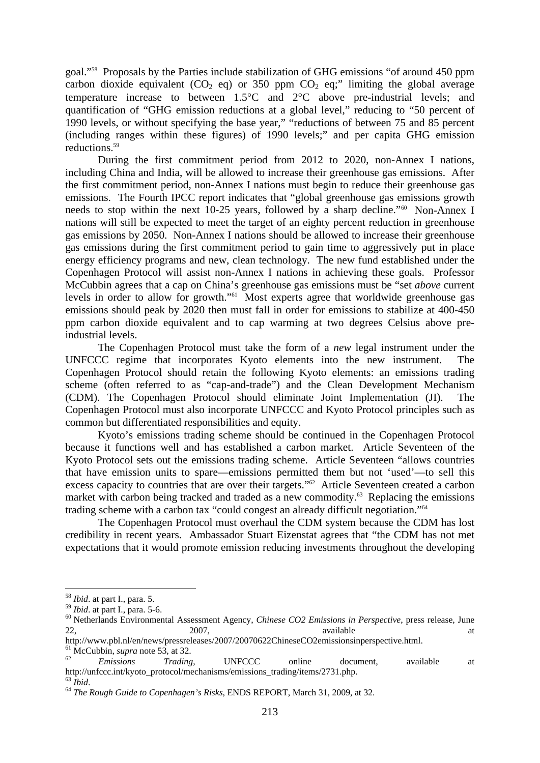goal."58 Proposals by the Parties include stabilization of GHG emissions "of around 450 ppm carbon dioxide equivalent (CO<sub>2</sub> eq) or 350 ppm CO<sub>2</sub> eq;" limiting the global average temperature increase to between 1.5°C and 2°C above pre-industrial levels; and quantification of "GHG emission reductions at a global level," reducing to "50 percent of 1990 levels, or without specifying the base year," "reductions of between 75 and 85 percent (including ranges within these figures) of 1990 levels;" and per capita GHG emission reductions.59

 During the first commitment period from 2012 to 2020, non-Annex I nations, including China and India, will be allowed to increase their greenhouse gas emissions. After the first commitment period, non-Annex I nations must begin to reduce their greenhouse gas emissions. The Fourth IPCC report indicates that "global greenhouse gas emissions growth needs to stop within the next 10-25 years, followed by a sharp decline."<sup>60</sup> Non-Annex I nations will still be expected to meet the target of an eighty percent reduction in greenhouse gas emissions by 2050. Non-Annex I nations should be allowed to increase their greenhouse gas emissions during the first commitment period to gain time to aggressively put in place energy efficiency programs and new, clean technology. The new fund established under the Copenhagen Protocol will assist non-Annex I nations in achieving these goals. Professor McCubbin agrees that a cap on China's greenhouse gas emissions must be "set *above* current levels in order to allow for growth."61 Most experts agree that worldwide greenhouse gas emissions should peak by 2020 then must fall in order for emissions to stabilize at 400-450 ppm carbon dioxide equivalent and to cap warming at two degrees Celsius above preindustrial levels.

 The Copenhagen Protocol must take the form of a *new* legal instrument under the UNFCCC regime that incorporates Kyoto elements into the new instrument. The Copenhagen Protocol should retain the following Kyoto elements: an emissions trading scheme (often referred to as "cap-and-trade") and the Clean Development Mechanism (CDM). The Copenhagen Protocol should eliminate Joint Implementation (JI). The Copenhagen Protocol must also incorporate UNFCCC and Kyoto Protocol principles such as common but differentiated responsibilities and equity.

 Kyoto's emissions trading scheme should be continued in the Copenhagen Protocol because it functions well and has established a carbon market. Article Seventeen of the Kyoto Protocol sets out the emissions trading scheme. Article Seventeen "allows countries that have emission units to spare—emissions permitted them but not 'used'—to sell this excess capacity to countries that are over their targets."<sup>62</sup> Article Seventeen created a carbon market with carbon being tracked and traded as a new commodity.<sup>63</sup> Replacing the emissions trading scheme with a carbon tax "could congest an already difficult negotiation."64

 The Copenhagen Protocol must overhaul the CDM system because the CDM has lost credibility in recent years. Ambassador Stuart Eizenstat agrees that "the CDM has not met expectations that it would promote emission reducing investments throughout the developing

<sup>&</sup>lt;sup>58</sup> *Ibid.* at part I., para. 5.<br><sup>59</sup> *Ibid.* at part I., para. 5-6.

<sup>&</sup>lt;sup>60</sup> Netherlands Environmental Assessment Agency, *Chinese CO2 Emissions in Perspective*, press release, June 22, 22, 2007, 2007, available at the state at  $\alpha$ http://www.pbl.nl/en/news/pressreleases/2007/20070622ChineseCO2emissionsinperspective.html.

 $\frac{61}{62}$  McCubbin, *supra* note 53, at 32.<br>  $\frac{62}{62}$  Emissions Trading, UNFCCC online document, available at http://unfccc.int/kyoto\_protocol/mechanisms/emissions\_trading/items/2731.php.<br><sup>63</sup> Ibid.

<sup>63</sup> *Ibid*. 64 *The Rough Guide to Copenhagen's Risks*, ENDS REPORT, March 31, 2009, at 32.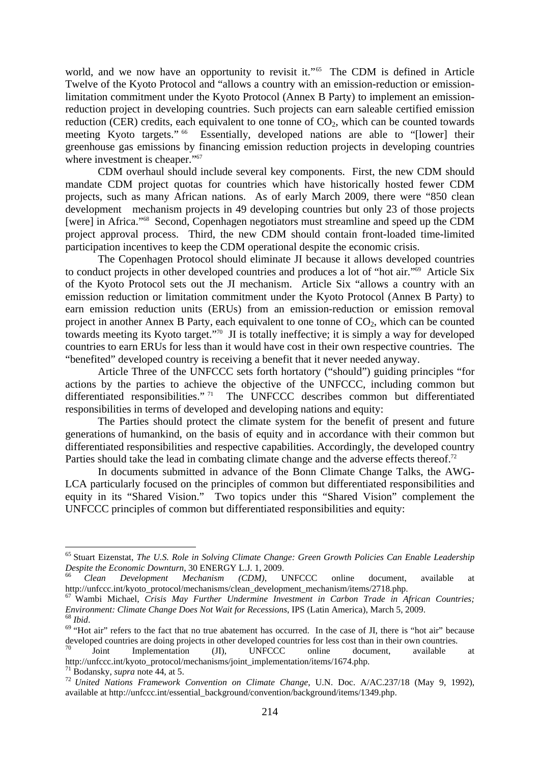world, and we now have an opportunity to revisit it."<sup>65</sup> The CDM is defined in Article Twelve of the Kyoto Protocol and "allows a country with an emission-reduction or emissionlimitation commitment under the Kyoto Protocol (Annex B Party) to implement an emissionreduction project in developing countries. Such projects can earn saleable certified emission reduction (CER) credits, each equivalent to one tonne of  $CO<sub>2</sub>$ , which can be counted towards meeting Kyoto targets." 66 Essentially, developed nations are able to "[lower] their greenhouse gas emissions by financing emission reduction projects in developing countries where investment is cheaper."<sup>67</sup>

 CDM overhaul should include several key components. First, the new CDM should mandate CDM project quotas for countries which have historically hosted fewer CDM projects, such as many African nations. As of early March 2009, there were "850 clean development mechanism projects in 49 developing countries but only 23 of those projects [were] in Africa."68 Second, Copenhagen negotiators must streamline and speed up the CDM project approval process. Third, the new CDM should contain front-loaded time-limited participation incentives to keep the CDM operational despite the economic crisis.

 The Copenhagen Protocol should eliminate JI because it allows developed countries to conduct projects in other developed countries and produces a lot of "hot air."69 Article Six of the Kyoto Protocol sets out the JI mechanism. Article Six "allows a country with an emission reduction or limitation commitment under the Kyoto Protocol (Annex B Party) to earn emission reduction units (ERUs) from an emission-reduction or emission removal project in another Annex B Party, each equivalent to one tonne of  $CO<sub>2</sub>$ , which can be counted towards meeting its Kyoto target."70 JI is totally ineffective; it is simply a way for developed countries to earn ERUs for less than it would have cost in their own respective countries. The "benefited" developed country is receiving a benefit that it never needed anyway.

 Article Three of the UNFCCC sets forth hortatory ("should") guiding principles "for actions by the parties to achieve the objective of the UNFCCC, including common but differentiated responsibilities." <sup>71</sup> The UNFCCC describes common but differentiated responsibilities in terms of developed and developing nations and equity:

 The Parties should protect the climate system for the benefit of present and future generations of humankind, on the basis of equity and in accordance with their common but differentiated responsibilities and respective capabilities. Accordingly, the developed country Parties should take the lead in combating climate change and the adverse effects thereof.<sup>72</sup>

In documents submitted in advance of the Bonn Climate Change Talks, the AWG-LCA particularly focused on the principles of common but differentiated responsibilities and equity in its "Shared Vision." Two topics under this "Shared Vision" complement the UNFCCC principles of common but differentiated responsibilities and equity:

<u>.</u>

<sup>65</sup> Stuart Eizenstat, *The U.S. Role in Solving Climate Change: Green Growth Policies Can Enable Leadership Despite the Economic Downturn*, 30 ENERGY L.J. 1, 2009.<br><sup>66</sup> *Clean Development Mechanism (CDM)*, UNFCCC online document, available at

http://unfccc.int/kyoto\_protocol/mechanisms/clean\_development\_mechanism/items/2718.php.

<sup>67</sup> Wambi Michael, *Crisis May Further Undermine Investment in Carbon Trade in African Countries;* 

 $\frac{68 \text{ Ibid.}}{69 \text{ }}$  Whot air" refers to the fact that no true abatement has occurred. In the case of JI, there is "hot air" because developed countries are doing projects in other developed countries for less cost than in their own countries.

Joint Implementation (JI), UNFCCC online document, available at http://unfccc.int/kyoto\_protocol/mechanisms/joint\_implementation/items/1674.php.<br><sup>71</sup> Bodanskv. *supra* note 44, at 5.

<sup>71</sup> Bodansky, *supra* note 44, at 5. 72 *United Nations Framework Convention on Climate Change*, U.N. Doc. A/AC.237/18 (May 9, 1992), available at http://unfccc.int/essential\_background/convention/background/items/1349.php.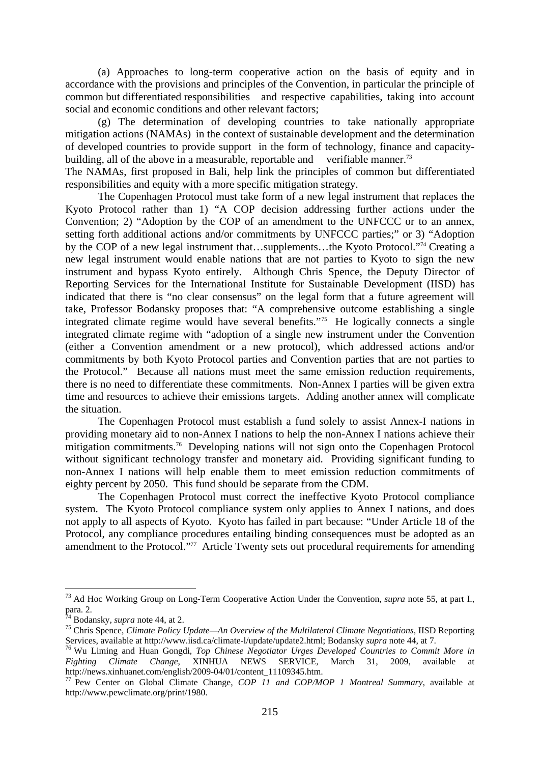(a) Approaches to long-term cooperative action on the basis of equity and in accordance with the provisions and principles of the Convention, in particular the principle of common but differentiated responsibilities and respective capabilities, taking into account social and economic conditions and other relevant factors;

 (g) The determination of developing countries to take nationally appropriate mitigation actions (NAMAs) in the context of sustainable development and the determination of developed countries to provide support in the form of technology, finance and capacitybuilding, all of the above in a measurable, reportable and verifiable manner.<sup>73</sup>

The NAMAs, first proposed in Bali, help link the principles of common but differentiated responsibilities and equity with a more specific mitigation strategy.

 The Copenhagen Protocol must take form of a new legal instrument that replaces the Kyoto Protocol rather than 1) "A COP decision addressing further actions under the Convention; 2) "Adoption by the COP of an amendment to the UNFCCC or to an annex, setting forth additional actions and/or commitments by UNFCCC parties;" or 3) "Adoption by the COP of a new legal instrument that…supplements…the Kyoto Protocol."<sup>74</sup> Creating a new legal instrument would enable nations that are not parties to Kyoto to sign the new instrument and bypass Kyoto entirely. Although Chris Spence, the Deputy Director of Reporting Services for the International Institute for Sustainable Development (IISD) has indicated that there is "no clear consensus" on the legal form that a future agreement will take, Professor Bodansky proposes that: "A comprehensive outcome establishing a single integrated climate regime would have several benefits."75 He logically connects a single integrated climate regime with "adoption of a single new instrument under the Convention (either a Convention amendment or a new protocol), which addressed actions and/or commitments by both Kyoto Protocol parties and Convention parties that are not parties to the Protocol." Because all nations must meet the same emission reduction requirements, there is no need to differentiate these commitments. Non-Annex I parties will be given extra time and resources to achieve their emissions targets. Adding another annex will complicate the situation.

 The Copenhagen Protocol must establish a fund solely to assist Annex-I nations in providing monetary aid to non-Annex I nations to help the non-Annex I nations achieve their mitigation commitments.<sup>76</sup> Developing nations will not sign onto the Copenhagen Protocol without significant technology transfer and monetary aid. Providing significant funding to non-Annex I nations will help enable them to meet emission reduction commitments of eighty percent by 2050. This fund should be separate from the CDM.

 The Copenhagen Protocol must correct the ineffective Kyoto Protocol compliance system. The Kyoto Protocol compliance system only applies to Annex I nations, and does not apply to all aspects of Kyoto. Kyoto has failed in part because: "Under Article 18 of the Protocol, any compliance procedures entailing binding consequences must be adopted as an amendment to the Protocol."77 Article Twenty sets out procedural requirements for amending

<sup>73</sup> Ad Hoc Working Group on Long-Term Cooperative Action Under the Convention, *supra* note 55, at part I., para. 2.<br><sup>74</sup> Bodansky, *supra* note 44, at 2.

<sup>&</sup>lt;sup>75</sup> Chris Spence, *Climate Policy Update—An Overview of the Multilateral Climate Negotiations*, IISD Reporting Services, available at http://www.iisd.ca/climate-l/update/update2.html: Bodansky *supra* note 44, at 7.

<sup>&</sup>lt;sup>76</sup> Wu Liming and Huan Gongdi, *Top Chinese Negotiator Urges Developed Countries to Commit More in Fighting Climate Change*, XINHUA NEWS SERVICE, March 31, 2009, available at http://news.xinhuanet.com/english/2009-04/01/content\_11109345.htm.

<sup>77</sup> Pew Center on Global Climate Change, *COP 11 and COP/MOP 1 Montreal Summary*, available at http://www.pewclimate.org/print/1980.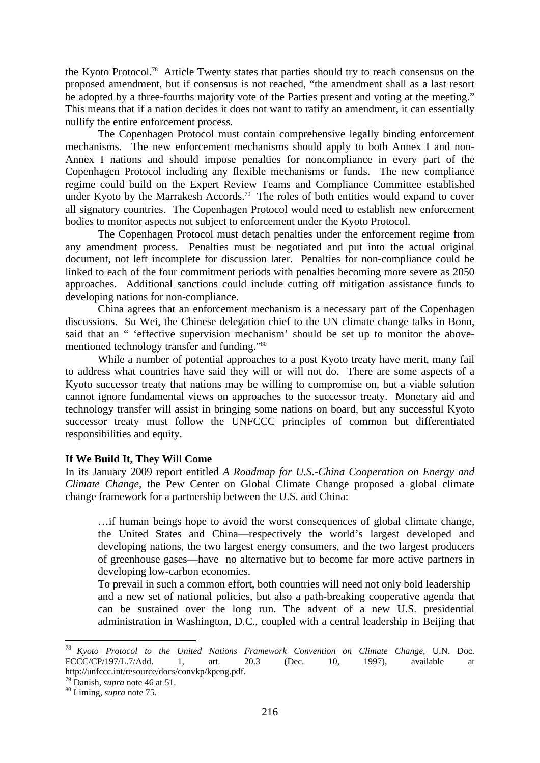the Kyoto Protocol.78 Article Twenty states that parties should try to reach consensus on the proposed amendment, but if consensus is not reached, "the amendment shall as a last resort be adopted by a three-fourths majority vote of the Parties present and voting at the meeting." This means that if a nation decides it does not want to ratify an amendment, it can essentially nullify the entire enforcement process.

 The Copenhagen Protocol must contain comprehensive legally binding enforcement mechanisms. The new enforcement mechanisms should apply to both Annex I and non-Annex I nations and should impose penalties for noncompliance in every part of the Copenhagen Protocol including any flexible mechanisms or funds. The new compliance regime could build on the Expert Review Teams and Compliance Committee established under Kyoto by the Marrakesh Accords.<sup>79</sup> The roles of both entities would expand to cover all signatory countries. The Copenhagen Protocol would need to establish new enforcement bodies to monitor aspects not subject to enforcement under the Kyoto Protocol.

 The Copenhagen Protocol must detach penalties under the enforcement regime from any amendment process. Penalties must be negotiated and put into the actual original document, not left incomplete for discussion later. Penalties for non-compliance could be linked to each of the four commitment periods with penalties becoming more severe as 2050 approaches. Additional sanctions could include cutting off mitigation assistance funds to developing nations for non-compliance.

 China agrees that an enforcement mechanism is a necessary part of the Copenhagen discussions. Su Wei, the Chinese delegation chief to the UN climate change talks in Bonn, said that an " 'effective supervision mechanism' should be set up to monitor the abovementioned technology transfer and funding."80

 While a number of potential approaches to a post Kyoto treaty have merit, many fail to address what countries have said they will or will not do. There are some aspects of a Kyoto successor treaty that nations may be willing to compromise on, but a viable solution cannot ignore fundamental views on approaches to the successor treaty. Monetary aid and technology transfer will assist in bringing some nations on board, but any successful Kyoto successor treaty must follow the UNFCCC principles of common but differentiated responsibilities and equity.

## **If We Build It, They Will Come**

In its January 2009 report entitled *A Roadmap for U.S.-China Cooperation on Energy and Climate Change*, the Pew Center on Global Climate Change proposed a global climate change framework for a partnership between the U.S. and China:

 …if human beings hope to avoid the worst consequences of global climate change, the United States and China—respectively the world's largest developed and developing nations, the two largest energy consumers, and the two largest producers of greenhouse gases—have no alternative but to become far more active partners in developing low-carbon economies.

 To prevail in such a common effort, both countries will need not only bold leadership and a new set of national policies, but also a path-breaking cooperative agenda that can be sustained over the long run. The advent of a new U.S. presidential administration in Washington, D.C., coupled with a central leadership in Beijing that

<sup>78</sup> *Kyoto Protocol to the United Nations Framework Convention on Climate Change*, U.N. Doc. FCCC/CP/197/L.7/Add. 1, art. 20.3 (Dec. 10, 1997), available at http://unfccc.int/resource/docs/convkp/kpeng.pdf.

<sup>79</sup> Danish, *supra* note 46 at 51. 80 Liming, *supra* note 75.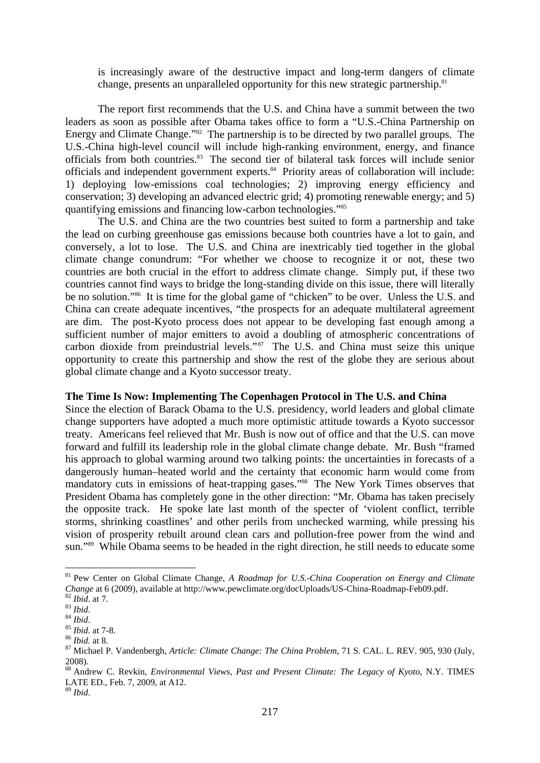is increasingly aware of the destructive impact and long-term dangers of climate change, presents an unparalleled opportunity for this new strategic partnership.<sup>81</sup>

 The report first recommends that the U.S. and China have a summit between the two leaders as soon as possible after Obama takes office to form a "U.S.-China Partnership on Energy and Climate Change."<sup>82</sup> The partnership is to be directed by two parallel groups. The U.S.-China high-level council will include high-ranking environment, energy, and finance officials from both countries.83 The second tier of bilateral task forces will include senior officials and independent government experts.<sup>84</sup> Priority areas of collaboration will include: 1) deploying low-emissions coal technologies; 2) improving energy efficiency and conservation; 3) developing an advanced electric grid; 4) promoting renewable energy; and 5) quantifying emissions and financing low-carbon technologies."85

 The U.S. and China are the two countries best suited to form a partnership and take the lead on curbing greenhouse gas emissions because both countries have a lot to gain, and conversely, a lot to lose. The U.S. and China are inextricably tied together in the global climate change conundrum: "For whether we choose to recognize it or not, these two countries are both crucial in the effort to address climate change. Simply put, if these two countries cannot find ways to bridge the long-standing divide on this issue, there will literally be no solution."<sup>86</sup> It is time for the global game of "chicken" to be over. Unless the U.S. and China can create adequate incentives, "the prospects for an adequate multilateral agreement are dim. The post-Kyoto process does not appear to be developing fast enough among a sufficient number of major emitters to avoid a doubling of atmospheric concentrations of carbon dioxide from preindustrial levels."<sup>87</sup> The U.S. and China must seize this unique opportunity to create this partnership and show the rest of the globe they are serious about global climate change and a Kyoto successor treaty.

#### **The Time Is Now: Implementing The Copenhagen Protocol in The U.S. and China**

Since the election of Barack Obama to the U.S. presidency, world leaders and global climate change supporters have adopted a much more optimistic attitude towards a Kyoto successor treaty. Americans feel relieved that Mr. Bush is now out of office and that the U.S. can move forward and fulfill its leadership role in the global climate change debate. Mr. Bush "framed his approach to global warming around two talking points: the uncertainties in forecasts of a dangerously human–heated world and the certainty that economic harm would come from mandatory cuts in emissions of heat-trapping gases."88 The New York Times observes that President Obama has completely gone in the other direction: "Mr. Obama has taken precisely the opposite track. He spoke late last month of the specter of 'violent conflict, terrible storms, shrinking coastlines' and other perils from unchecked warming, while pressing his vision of prosperity rebuilt around clean cars and pollution-free power from the wind and sun."89 While Obama seems to be headed in the right direction, he still needs to educate some

1

<sup>89</sup> *Ibid*.

<sup>81</sup> Pew Center on Global Climate Change, *A Roadmap for U.S.-China Cooperation on Energy and Climate*  Change at 6 (2009), available at http://www.pewclimate.org/docUploads/US-China-Roadmap-Feb09.pdf.<br><sup>82</sup> Ibid. at 7.<br><sup>83</sup> Ibid.<br><sup>85</sup> Ibid. at 7-8.<br><sup>86</sup> Ibid. at 8.<br><sup>86</sup> Ibid. at 8.<br><sup>86</sup> Ibid. at 8.

<sup>2008).</sup> 

<sup>88</sup> Andrew C. Revkin, *Environmental Views, Past and Present Climate: The Legacy of Kyoto*, N.Y. TIMES LATE ED., Feb. 7, 2009, at A12.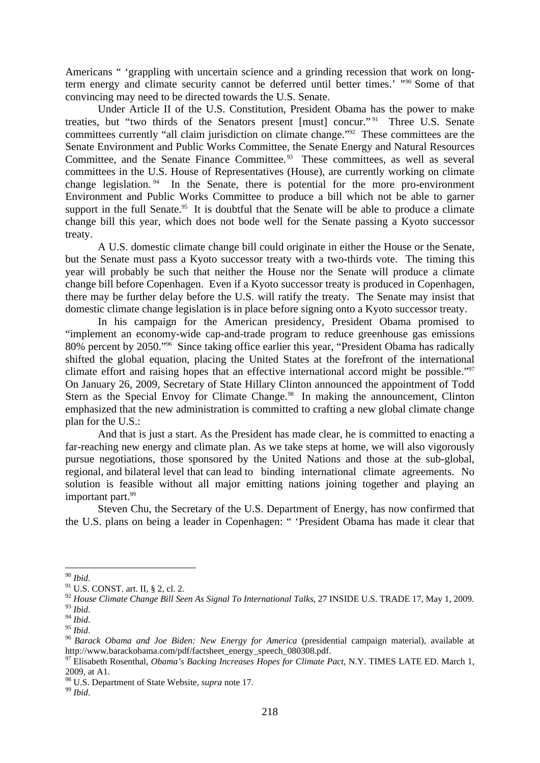Americans " 'grappling with uncertain science and a grinding recession that work on longterm energy and climate security cannot be deferred until better times.' "90 Some of that convincing may need to be directed towards the U.S. Senate.

 Under Article II of the U.S. Constitution, President Obama has the power to make treaties, but "two thirds of the Senators present [must] concur."<sup>91</sup> Three U.S. Senate committees currently "all claim jurisdiction on climate change."<sup>92</sup> These committees are the Senate Environment and Public Works Committee, the Senate Energy and Natural Resources Committee, and the Senate Finance Committee.<sup>93</sup> These committees, as well as several committees in the U.S. House of Representatives (House), are currently working on climate change legislation. 94 In the Senate, there is potential for the more pro-environment Environment and Public Works Committee to produce a bill which not be able to garner support in the full Senate.<sup>95</sup> It is doubtful that the Senate will be able to produce a climate change bill this year, which does not bode well for the Senate passing a Kyoto successor treaty.

 A U.S. domestic climate change bill could originate in either the House or the Senate, but the Senate must pass a Kyoto successor treaty with a two-thirds vote. The timing this year will probably be such that neither the House nor the Senate will produce a climate change bill before Copenhagen. Even if a Kyoto successor treaty is produced in Copenhagen, there may be further delay before the U.S. will ratify the treaty. The Senate may insist that domestic climate change legislation is in place before signing onto a Kyoto successor treaty.

 In his campaign for the American presidency, President Obama promised to "implement an economy-wide cap-and-trade program to reduce greenhouse gas emissions 80% percent by 2050."96 Since taking office earlier this year, "President Obama has radically shifted the global equation, placing the United States at the forefront of the international climate effort and raising hopes that an effective international accord might be possible."97 On January 26, 2009, Secretary of State Hillary Clinton announced the appointment of Todd Stern as the Special Envoy for Climate Change.<sup>98</sup> In making the announcement, Clinton emphasized that the new administration is committed to crafting a new global climate change plan for the U.S.:

 And that is just a start. As the President has made clear, he is committed to enacting a far-reaching new energy and climate plan. As we take steps at home, we will also vigorously pursue negotiations, those sponsored by the United Nations and those at the sub-global, regional, and bilateral level that can lead to binding international climate agreements. No solution is feasible without all major emitting nations joining together and playing an important part.<sup>99</sup>

Steven Chu, the Secretary of the U.S. Department of Energy, has now confirmed that the U.S. plans on being a leader in Copenhagen: " 'President Obama has made it clear that

 $90$  Ibid.

<sup>&</sup>lt;sup>91</sup> U.S. CONST. art. II, § 2, cl. 2.

<sup>&</sup>lt;sup>92</sup> House Climate Change Bill Seen As Signal To International Talks, 27 INSIDE U.S. TRADE 17, May 1, 2009.<br><sup>93</sup> Ibid

<sup>93</sup> *Ibid*. 94 *Ibid*. 95 *Ibid*. 96 *Barack Obama and Joe Biden: New Energy for America* (presidential campaign material), available at http://www.barackobama.com/pdf/factsheet\_energy\_speech\_080308.pdf.

<sup>&</sup>lt;sup>97</sup> Elisabeth Rosenthal, *Obama's Backing Increases Hopes for Climate Pact*, N.Y. TIMES LATE ED. March 1, 2009, at A1.

<sup>98</sup> U.S. Department of State Website, *supra* note 17. 99 *Ibid*.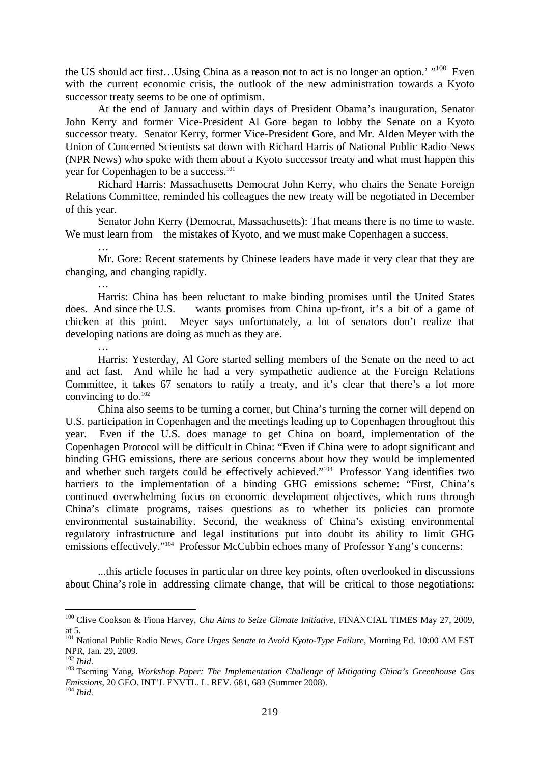the US should act first...Using China as a reason not to act is no longer an option.' "<sup>100</sup> Even with the current economic crisis, the outlook of the new administration towards a Kyoto successor treaty seems to be one of optimism.

 At the end of January and within days of President Obama's inauguration, Senator John Kerry and former Vice-President Al Gore began to lobby the Senate on a Kyoto successor treaty. Senator Kerry, former Vice-President Gore, and Mr. Alden Meyer with the Union of Concerned Scientists sat down with Richard Harris of National Public Radio News (NPR News) who spoke with them about a Kyoto successor treaty and what must happen this year for Copenhagen to be a success.<sup>101</sup>

 Richard Harris: Massachusetts Democrat John Kerry, who chairs the Senate Foreign Relations Committee, reminded his colleagues the new treaty will be negotiated in December of this year.

 Senator John Kerry (Democrat, Massachusetts): That means there is no time to waste. We must learn from the mistakes of Kyoto, and we must make Copenhagen a success.

 Mr. Gore: Recent statements by Chinese leaders have made it very clear that they are changing, and changing rapidly.

 … Harris: China has been reluctant to make binding promises until the United States does. And since the U.S. wants promises from China up-front, it's a bit of a game of chicken at this point. Meyer says unfortunately, a lot of senators don't realize that developing nations are doing as much as they are.

 Harris: Yesterday, Al Gore started selling members of the Senate on the need to act and act fast. And while he had a very sympathetic audience at the Foreign Relations Committee, it takes 67 senators to ratify a treaty, and it's clear that there's a lot more convincing to do.102

 China also seems to be turning a corner, but China's turning the corner will depend on U.S. participation in Copenhagen and the meetings leading up to Copenhagen throughout this year. Even if the U.S. does manage to get China on board, implementation of the Copenhagen Protocol will be difficult in China: "Even if China were to adopt significant and binding GHG emissions, there are serious concerns about how they would be implemented and whether such targets could be effectively achieved."103 Professor Yang identifies two barriers to the implementation of a binding GHG emissions scheme: "First, China's continued overwhelming focus on economic development objectives, which runs through China's climate programs, raises questions as to whether its policies can promote environmental sustainability. Second, the weakness of China's existing environmental regulatory infrastructure and legal institutions put into doubt its ability to limit GHG emissions effectively."104 Professor McCubbin echoes many of Professor Yang's concerns:

 ...this article focuses in particular on three key points, often overlooked in discussions about China's role in addressing climate change, that will be critical to those negotiations:

<u>.</u>

 $\mathbb{R}^2$ 

<sup>100</sup> Clive Cookson & Fiona Harvey, *Chu Aims to Seize Climate Initiative*, FINANCIAL TIMES May 27, 2009, at 5.

<sup>&</sup>lt;sup>101</sup> National Public Radio News, *Gore Urges Senate to Avoid Kyoto-Type Failure*, Morning Ed. 10:00 AM EST NPR, Jan. 29, 2009.<br><sup>102</sup> Ihid.

<sup>102</sup> *Ibid*. 103 Tseming Yang, *Workshop Paper: The Implementation Challenge of Mitigating China's Greenhouse Gas Emissions*, 20 GEO. INT'L ENVTL. L. REV. 681, 683 (Summer 2008). <sup>104</sup> *Ibid.*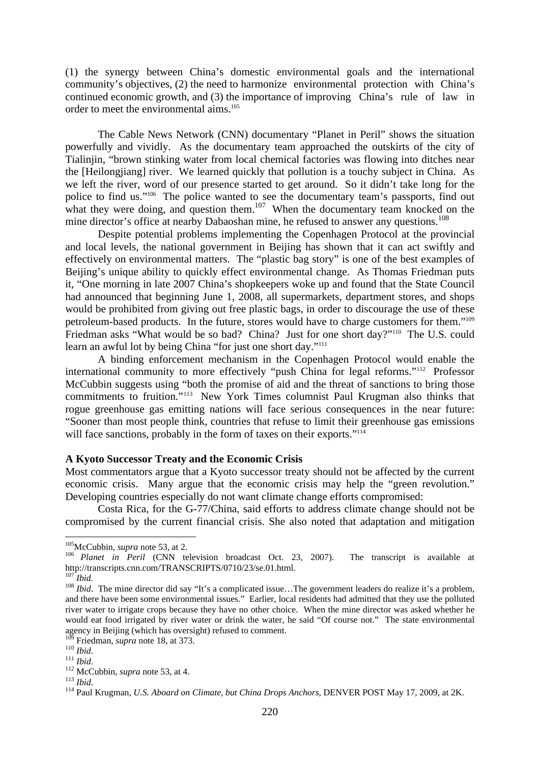(1) the synergy between China's domestic environmental goals and the international community's objectives, (2) the need to harmonize environmental protection with China's continued economic growth, and (3) the importance of improving China's rule of law in order to meet the environmental aims.<sup>105</sup>

 The Cable News Network (CNN) documentary "Planet in Peril" shows the situation powerfully and vividly. As the documentary team approached the outskirts of the city of Tialinjin, "brown stinking water from local chemical factories was flowing into ditches near the [Heilongjiang] river. We learned quickly that pollution is a touchy subject in China. As we left the river, word of our presence started to get around. So it didn't take long for the police to find us."106 The police wanted to see the documentary team's passports, find out what they were doing, and question them.<sup>107</sup> When the documentary team knocked on the mine director's office at nearby Dabaoshan mine, he refused to answer any questions.<sup>108</sup>

 Despite potential problems implementing the Copenhagen Protocol at the provincial and local levels, the national government in Beijing has shown that it can act swiftly and effectively on environmental matters. The "plastic bag story" is one of the best examples of Beijing's unique ability to quickly effect environmental change. As Thomas Friedman puts it, "One morning in late 2007 China's shopkeepers woke up and found that the State Council had announced that beginning June 1, 2008, all supermarkets, department stores, and shops would be prohibited from giving out free plastic bags, in order to discourage the use of these petroleum-based products. In the future, stores would have to charge customers for them."109 Friedman asks "What would be so bad? China? Just for one short day?"<sup>110</sup> The U.S. could learn an awful lot by being China "for just one short day."<sup>111</sup>

 A binding enforcement mechanism in the Copenhagen Protocol would enable the international community to more effectively "push China for legal reforms."112 Professor McCubbin suggests using "both the promise of aid and the threat of sanctions to bring those commitments to fruition."113 New York Times columnist Paul Krugman also thinks that rogue greenhouse gas emitting nations will face serious consequences in the near future: "Sooner than most people think, countries that refuse to limit their greenhouse gas emissions will face sanctions, probably in the form of taxes on their exports."<sup>114</sup>

#### **A Kyoto Successor Treaty and the Economic Crisis**

Most commentators argue that a Kyoto successor treaty should not be affected by the current economic crisis. Many argue that the economic crisis may help the "green revolution." Developing countries especially do not want climate change efforts compromised:

 Costa Rica, for the G-77/China, said efforts to address climate change should not be compromised by the current financial crisis. She also noted that adaptation and mitigation

<sup>&</sup>lt;sup>105</sup>McCubbin, *supra* note 53, at 2.<br><sup>106</sup> *Planet in Peril* (CNN television broadcast Oct. 23, 2007). The transcript is available at http://transcripts.cnn.com/TRANSCRIPTS/0710/23/se.01.html.

<sup>&</sup>lt;sup>108</sup> *Ibid*. The mine director did say "It's a complicated issue...The government leaders do realize it's a problem, and there have been some environmental issues." Earlier, local residents had admitted that they use the polluted river water to irrigate crops because they have no other choice. When the mine director was asked whether he would eat food irrigated by river water or drink the water, he said "Of course not." The state environmental agency in Beijing (which has oversight) refused to comment.  $109$  Friedman, *supra* note 18, at 373.

<sup>&</sup>lt;sup>110</sup> Ibid.<br>
<sup>111</sup> Ibid.<br>
<sup>112</sup> McCubbin, *supra* note 53, at 4.<br>
<sup>112</sup> McCubbin, *supra* note 53, at 4.<br>
<sup>114</sup> Paul Krugman, *U.S. Aboard on Climate, but China Drops Anchors*, DENVER POST May 17, 2009, at 2K.